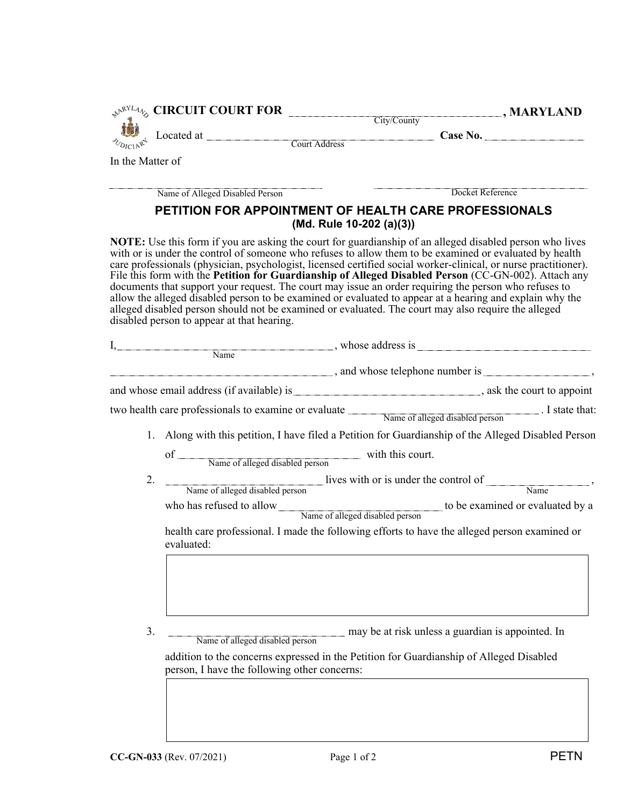| In the Matter of |                                                                                 |                                                                                                     |                                                                                                                                                                                                                                                                                                                                                                                                                                                                                                                                                                                                                                                                            |
|------------------|---------------------------------------------------------------------------------|-----------------------------------------------------------------------------------------------------|----------------------------------------------------------------------------------------------------------------------------------------------------------------------------------------------------------------------------------------------------------------------------------------------------------------------------------------------------------------------------------------------------------------------------------------------------------------------------------------------------------------------------------------------------------------------------------------------------------------------------------------------------------------------------|
|                  | Name of Alleged Disabled Person                                                 |                                                                                                     | Docket Reference                                                                                                                                                                                                                                                                                                                                                                                                                                                                                                                                                                                                                                                           |
|                  |                                                                                 | PETITION FOR APPOINTMENT OF HEALTH CARE PROFESSIONALS<br>(Md. Rule 10-202 (a)(3))                   |                                                                                                                                                                                                                                                                                                                                                                                                                                                                                                                                                                                                                                                                            |
|                  | disabled person to appear at that hearing.                                      | alleged disabled person should not be examined or evaluated. The court may also require the alleged | <b>NOTE:</b> Use this form if you are asking the court for guardianship of an alleged disabled person who lives<br>with or is under the control of someone who refuses to allow them to be examined or evaluated by health<br>care professionals (physician, psychologist, licensed certified social worker-clinical, or nurse practitioner).<br>File this form with the Petition for Guardianship of Alleged Disabled Person (CC-GN-002). Attach any<br>documents that support your request. The court may issue an order requiring the person who refuses to<br>allow the alleged disabled person to be examined or evaluated to appear at a hearing and explain why the |
|                  |                                                                                 |                                                                                                     | $I,$ Mame                                                                                                                                                                                                                                                                                                                                                                                                                                                                                                                                                                                                                                                                  |
|                  |                                                                                 |                                                                                                     |                                                                                                                                                                                                                                                                                                                                                                                                                                                                                                                                                                                                                                                                            |
|                  |                                                                                 |                                                                                                     |                                                                                                                                                                                                                                                                                                                                                                                                                                                                                                                                                                                                                                                                            |
|                  |                                                                                 |                                                                                                     |                                                                                                                                                                                                                                                                                                                                                                                                                                                                                                                                                                                                                                                                            |
|                  |                                                                                 |                                                                                                     | two health care professionals to examine or evaluate Name of alleged disabled person . I state that:                                                                                                                                                                                                                                                                                                                                                                                                                                                                                                                                                                       |
|                  |                                                                                 |                                                                                                     | 1. Along with this petition, I have filed a Petition for Guardianship of the Alleged Disabled Person                                                                                                                                                                                                                                                                                                                                                                                                                                                                                                                                                                       |
|                  |                                                                                 | of <u>Name of alleged disabled person</u> with this court.                                          |                                                                                                                                                                                                                                                                                                                                                                                                                                                                                                                                                                                                                                                                            |
|                  |                                                                                 |                                                                                                     | Name of alleged disabled person<br>Name of alleged disabled person<br>Name                                                                                                                                                                                                                                                                                                                                                                                                                                                                                                                                                                                                 |
|                  |                                                                                 |                                                                                                     | who has refused to allow<br>Name of alleged disabled person<br>to be examined or evaluated by a<br>Name of alleged disabled person                                                                                                                                                                                                                                                                                                                                                                                                                                                                                                                                         |
|                  |                                                                                 |                                                                                                     |                                                                                                                                                                                                                                                                                                                                                                                                                                                                                                                                                                                                                                                                            |
|                  | evaluated:                                                                      |                                                                                                     | health care professional. I made the following efforts to have the alleged person examined or                                                                                                                                                                                                                                                                                                                                                                                                                                                                                                                                                                              |
| 3.               | Name of alleged disabled person<br>person, I have the following other concerns: | addition to the concerns expressed in the Petition for Guardianship of Alleged Disabled             | may be at risk unless a guardian is appointed. In                                                                                                                                                                                                                                                                                                                                                                                                                                                                                                                                                                                                                          |